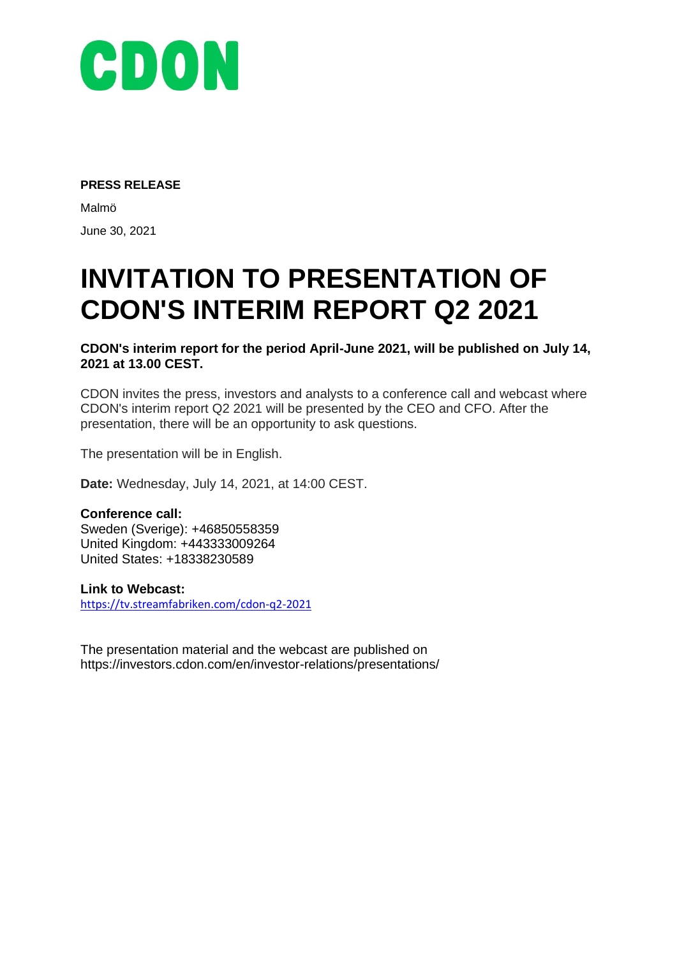

#### **PRESS RELEASE**

Malmö June 30, 2021

# **INVITATION TO PRESENTATION OF CDON'S INTERIM REPORT Q2 2021**

**CDON's interim report for the period April-June 2021, will be published on July 14, 2021 at 13.00 CEST.**

CDON invites the press, investors and analysts to a conference call and webcast where CDON's interim report Q2 2021 will be presented by the CEO and CFO. After the presentation, there will be an opportunity to ask questions.

The presentation will be in English.

**Date:** Wednesday, July 14, 2021, at 14:00 CEST.

### **Conference call:**

Sweden (Sverige): +46850558359 United Kingdom: +443333009264 United States: +18338230589

#### **Link to Webcast:**

<https://tv.streamfabriken.com/cdon-q2-2021>

The presentation material and the webcast are published on https://investors.cdon.com/en/investor-relations/presentations/